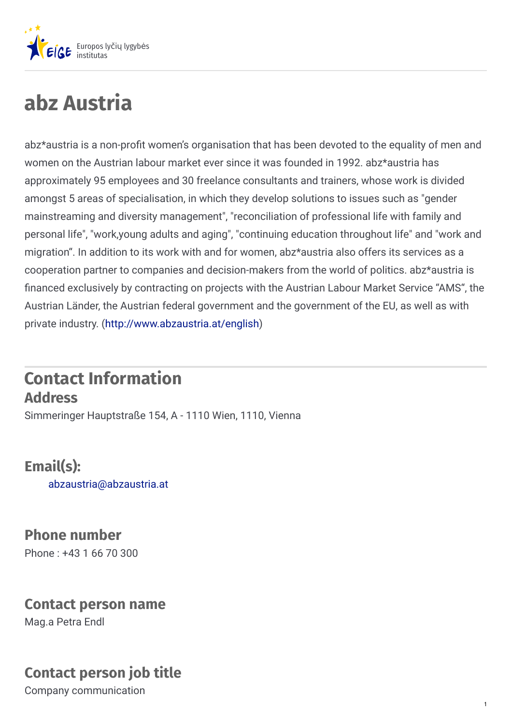

# **abz Austria**

abz\*austria is a non-profit women's organisation that has been devoted to the equality of men and women on the Austrian labour market ever since it was founded in 1992. abz\*austria has approximately 95 employees and 30 freelance consultants and trainers, whose work is divided amongst 5 areas of specialisation, in which they develop solutions to issues such as "gender mainstreaming and diversity management", "reconciliation of professional life with family and personal life", "work,young adults and aging", "continuing education throughout life" and "work and migration". In addition to its work with and for women, abz\*austria also offers its services as a cooperation partner to companies and decision-makers from the world of politics. abz\*austria is nanced exclusively by contracting on projects with the Austrian Labour Market Service "AMS", the Austrian Länder, the Austrian federal government and the government of the EU, as well as with private industry. [\(http://www.abzaustria.at/english](http://www.abzaustria.at/english))

#### **Contact Information Address**

Simmeringer Hauptstraße 154, A - 1110 Wien, 1110, Vienna

**Email(s):** [abzaustria@abzaustria.at](mailto:abzaustria@abzaustria.at)

**Phone number** Phone : +43 1 66 70 300

#### **Contact person name**

Mag.a Petra Endl

#### **Contact person job title**

Company communication